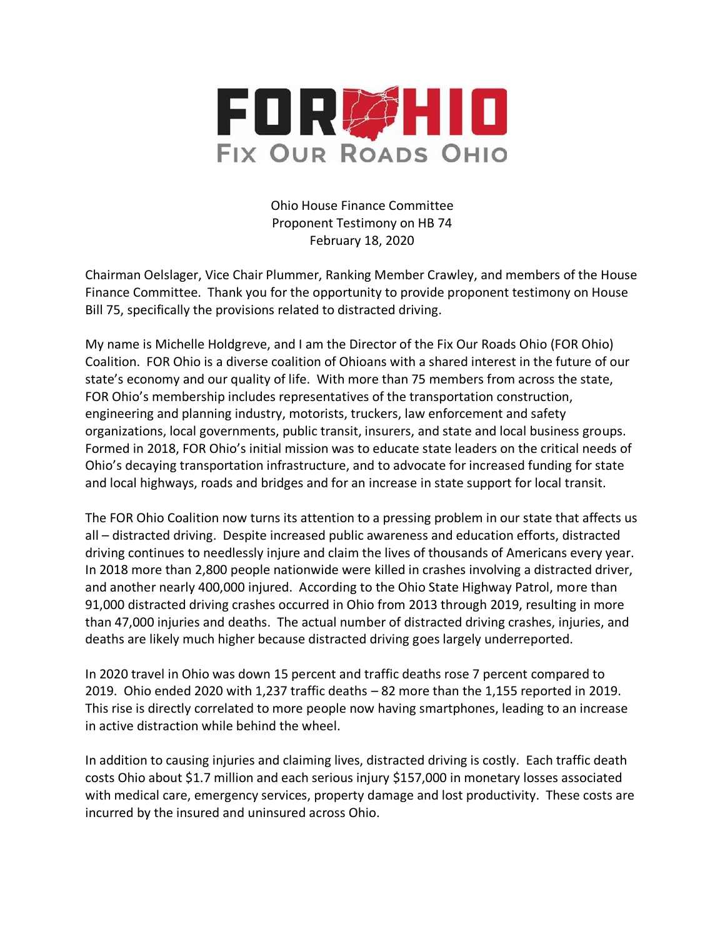

Ohio House Finance Committee Proponent Testimony on HB 74 February 18, 2020

Chairman Oelslager, Vice Chair Plummer, Ranking Member Crawley, and members of the House Finance Committee. Thank you for the opportunity to provide proponent testimony on House Bill 75, specifically the provisions related to distracted driving.

My name is Michelle Holdgreve, and I am the Director of the Fix Our Roads Ohio (FOR Ohio) Coalition. FOR Ohio is a diverse coalition of Ohioans with a shared interest in the future of our state's economy and our quality of life. With more than 75 members from across the state, FOR Ohio's membership includes representatives of the transportation construction, engineering and planning industry, motorists, truckers, law enforcement and safety organizations, local governments, public transit, insurers, and state and local business groups. Formed in 2018, FOR Ohio's initial mission was to educate state leaders on the critical needs of Ohio's decaying transportation infrastructure, and to advocate for increased funding for state and local highways, roads and bridges and for an increase in state support for local transit.

The FOR Ohio Coalition now turns its attention to a pressing problem in our state that affects us all – distracted driving. Despite increased public awareness and education efforts, distracted driving continues to needlessly injure and claim the lives of thousands of Americans every year. In 2018 more than 2,800 people nationwide were killed in crashes involving a distracted driver, and another nearly 400,000 injured. According to the Ohio State Highway Patrol, more than 91,000 distracted driving crashes occurred in Ohio from 2013 through 2019, resulting in more than 47,000 injuries and deaths. The actual number of distracted driving crashes, injuries, and deaths are likely much higher because distracted driving goes largely underreported.

In 2020 travel in Ohio was down 15 percent and traffic deaths rose 7 percent compared to 2019. Ohio ended 2020 with 1,237 traffic deaths – 82 more than the 1,155 reported in 2019. This rise is directly correlated to more people now having smartphones, leading to an increase in active distraction while behind the wheel.

In addition to causing injuries and claiming lives, distracted driving is costly. Each traffic death costs Ohio about \$1.7 million and each serious injury \$157,000 in monetary losses associated with medical care, emergency services, property damage and lost productivity. These costs are incurred by the insured and uninsured across Ohio.